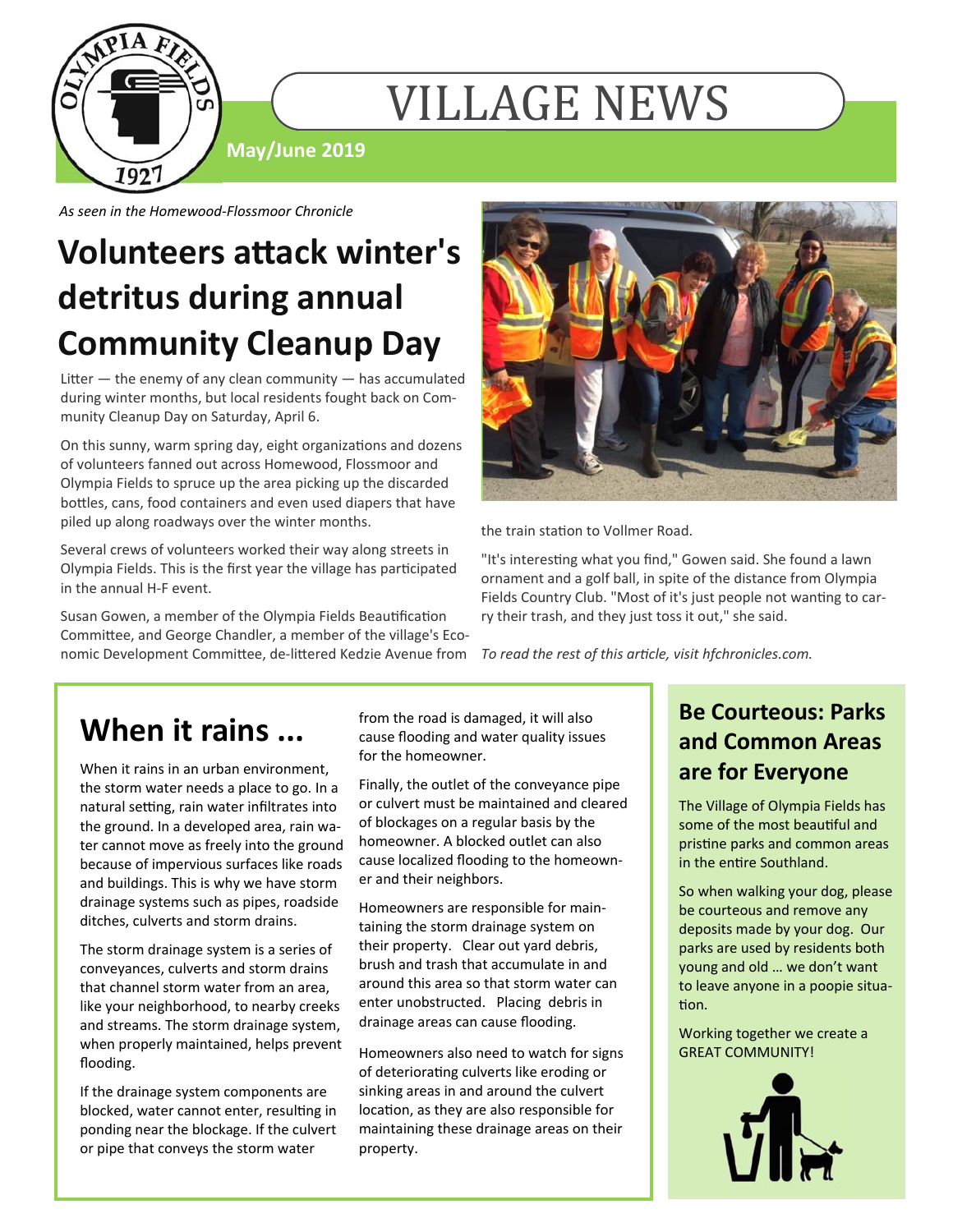

# VILLAGE NEWS

**May/June 2019** 

*As seen in the Homewood‐Flossmoor Chronicle* 

# **Volunteers aƩack winter's detritus during annual Community Cleanup Day**

Litter  $-$  the enemy of any clean community  $-$  has accumulated during winter months, but local residents fought back on Community Cleanup Day on Saturday, April 6.

On this sunny, warm spring day, eight organizations and dozens of volunteers fanned out across Homewood, Flossmoor and Olympia Fields to spruce up the area picking up the discarded bottles, cans, food containers and even used diapers that have piled up along roadways over the winter months.

Several crews of volunteers worked their way along streets in Olympia Fields. This is the first year the village has participated in the annual H-F event.

Susan Gowen, a member of the Olympia Fields Beautification Committee, and George Chandler, a member of the village's Economic Development Committee, de-littered Kedzie Avenue from



the train station to Vollmer Road.

"It's interesting what you find," Gowen said. She found a lawn ornament and a golf ball, in spite of the distance from Olympia Fields Country Club. "Most of it's just people not wanting to carry their trash, and they just toss it out," she said.

*To read the rest of this arƟcle, visit hfchronicles.com.*

## **When it rains ...**

When it rains in an urban environment, the storm water needs a place to go. In a natural setting, rain water infiltrates into the ground. In a developed area, rain water cannot move as freely into the ground because of impervious surfaces like roads and buildings. This is why we have storm drainage systems such as pipes, roadside ditches, culverts and storm drains.

The storm drainage system is a series of conveyances, culverts and storm drains that channel storm water from an area, like your neighborhood, to nearby creeks and streams. The storm drainage system, when properly maintained, helps prevent flooding.

If the drainage system components are blocked, water cannot enter, resulting in ponding near the blockage. If the culvert or pipe that conveys the storm water

from the road is damaged, it will also cause flooding and water quality issues for the homeowner.

Finally, the outlet of the conveyance pipe or culvert must be maintained and cleared of blockages on a regular basis by the homeowner. A blocked outlet can also cause localized flooding to the homeowner and their neighbors.

Homeowners are responsible for maintaining the storm drainage system on their property. Clear out yard debris, brush and trash that accumulate in and around this area so that storm water can enter unobstructed. Placing debris in drainage areas can cause flooding.

Homeowners also need to watch for signs of deteriorating culverts like eroding or sinking areas in and around the culvert location, as they are also responsible for maintaining these drainage areas on their property.

#### **Be Courteous: Parks and Common Areas are for Everyone**

The Village of Olympia Fields has some of the most beautiful and pristine parks and common areas in the entire Southland.

So when walking your dog, please be courteous and remove any deposits made by your dog. Our parks are used by residents both young and old … we don't want to leave anyone in a poopie situation.

Working together we create a GREAT COMMUNITY!